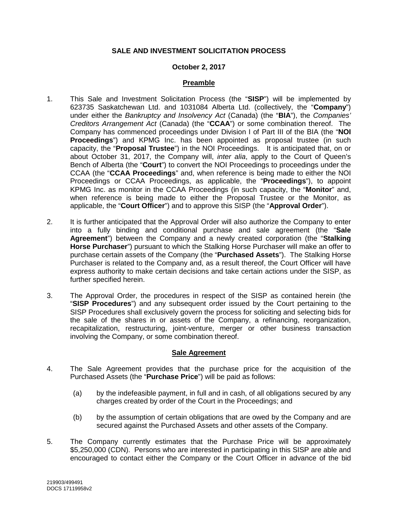#### **SALE AND INVESTMENT SOLICITATION PROCESS**

#### **October 2, 2017**

#### **Preamble**

- 1. This Sale and Investment Solicitation Process (the "**SISP**") will be implemented by 623735 Saskatchewan Ltd. and 1031084 Alberta Ltd. (collectively, the "**Company**") under either the *Bankruptcy and Insolvency Act* (Canada) (the "**BIA**"), the *Companies' Creditors Arrangement Act* (Canada) (the "**CCAA**") or some combination thereof. The Company has commenced proceedings under Division I of Part III of the BIA (the "**NOI Proceedings**") and KPMG Inc. has been appointed as proposal trustee (in such capacity, the "**Proposal Trustee**") in the NOI Proceedings. It is anticipated that, on or about October 31, 2017, the Company will, *inter alia*, apply to the Court of Queen's Bench of Alberta (the "**Court**") to convert the NOI Proceedings to proceedings under the CCAA (the "**CCAA Proceedings**" and, when reference is being made to either the NOI Proceedings or CCAA Proceedings, as applicable, the "**Proceedings**"), to appoint KPMG Inc. as monitor in the CCAA Proceedings (in such capacity, the "**Monitor**" and, when reference is being made to either the Proposal Trustee or the Monitor, as applicable, the "**Court Officer**") and to approve this SISP (the "**Approval Order**").
- 2. It is further anticipated that the Approval Order will also authorize the Company to enter into a fully binding and conditional purchase and sale agreement (the "**Sale Agreement**") between the Company and a newly created corporation (the "**Stalking Horse Purchaser**") pursuant to which the Stalking Horse Purchaser will make an offer to purchase certain assets of the Company (the "**Purchased Assets**"). The Stalking Horse Purchaser is related to the Company and, as a result thereof, the Court Officer will have express authority to make certain decisions and take certain actions under the SISP, as further specified herein.
- 3. The Approval Order, the procedures in respect of the SISP as contained herein (the "**SISP Procedures**") and any subsequent order issued by the Court pertaining to the SISP Procedures shall exclusively govern the process for soliciting and selecting bids for the sale of the shares in or assets of the Company, a refinancing, reorganization, recapitalization, restructuring, joint-venture, merger or other business transaction involving the Company, or some combination thereof.

#### **Sale Agreement**

- 4. The Sale Agreement provides that the purchase price for the acquisition of the Purchased Assets (the "**Purchase Price**") will be paid as follows:
	- (a) by the indefeasible payment, in full and in cash, of all obligations secured by any charges created by order of the Court in the Proceedings; and
	- (b) by the assumption of certain obligations that are owed by the Company and are secured against the Purchased Assets and other assets of the Company.
- 5. The Company currently estimates that the Purchase Price will be approximately \$5,250,000 (CDN). Persons who are interested in participating in this SISP are able and encouraged to contact either the Company or the Court Officer in advance of the bid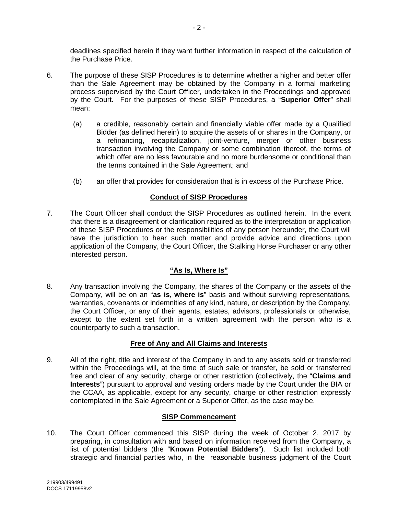deadlines specified herein if they want further information in respect of the calculation of the Purchase Price.

- 6. The purpose of these SISP Procedures is to determine whether a higher and better offer than the Sale Agreement may be obtained by the Company in a formal marketing process supervised by the Court Officer, undertaken in the Proceedings and approved by the Court. For the purposes of these SISP Procedures, a "**Superior Offer**" shall mean:
	- (a) a credible, reasonably certain and financially viable offer made by a Qualified Bidder (as defined herein) to acquire the assets of or shares in the Company, or a refinancing, recapitalization, joint-venture, merger or other business transaction involving the Company or some combination thereof, the terms of which offer are no less favourable and no more burdensome or conditional than the terms contained in the Sale Agreement; and
	- (b) an offer that provides for consideration that is in excess of the Purchase Price.

## **Conduct of SISP Procedures**

7. The Court Officer shall conduct the SISP Procedures as outlined herein. In the event that there is a disagreement or clarification required as to the interpretation or application of these SISP Procedures or the responsibilities of any person hereunder, the Court will have the jurisdiction to hear such matter and provide advice and directions upon application of the Company, the Court Officer, the Stalking Horse Purchaser or any other interested person.

# **"As Is, Where Is"**

8. Any transaction involving the Company, the shares of the Company or the assets of the Company, will be on an "**as is, where is**" basis and without surviving representations, warranties, covenants or indemnities of any kind, nature, or description by the Company, the Court Officer, or any of their agents, estates, advisors, professionals or otherwise, except to the extent set forth in a written agreement with the person who is a counterparty to such a transaction.

### **Free of Any and All Claims and Interests**

9. All of the right, title and interest of the Company in and to any assets sold or transferred within the Proceedings will, at the time of such sale or transfer, be sold or transferred free and clear of any security, charge or other restriction (collectively, the "**Claims and Interests**") pursuant to approval and vesting orders made by the Court under the BIA or the CCAA, as applicable, except for any security, charge or other restriction expressly contemplated in the Sale Agreement or a Superior Offer, as the case may be.

# **SISP Commencement**

10. The Court Officer commenced this SISP during the week of October 2, 2017 by preparing, in consultation with and based on information received from the Company, a list of potential bidders (the "**Known Potential Bidders**"). Such list included both strategic and financial parties who, in the reasonable business judgment of the Court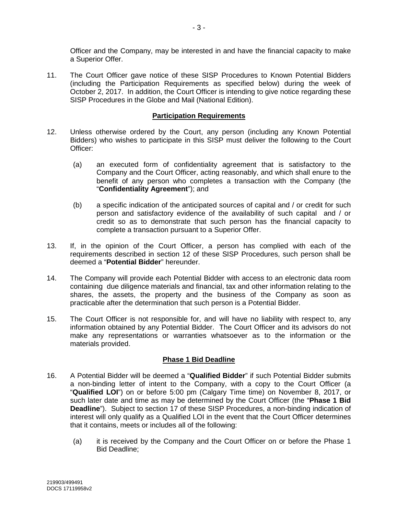Officer and the Company, may be interested in and have the financial capacity to make a Superior Offer.

11. The Court Officer gave notice of these SISP Procedures to Known Potential Bidders (including the Participation Requirements as specified below) during the week of October 2, 2017. In addition, the Court Officer is intending to give notice regarding these SISP Procedures in the Globe and Mail (National Edition).

#### **Participation Requirements**

- <span id="page-2-0"></span>12. Unless otherwise ordered by the Court, any person (including any Known Potential Bidders) who wishes to participate in this SISP must deliver the following to the Court Officer:
	- (a) an executed form of confidentiality agreement that is satisfactory to the Company and the Court Officer, acting reasonably, and which shall enure to the benefit of any person who completes a transaction with the Company (the "**Confidentiality Agreement**"); and
	- (b) a specific indication of the anticipated sources of capital and / or credit for such person and satisfactory evidence of the availability of such capital and / or credit so as to demonstrate that such person has the financial capacity to complete a transaction pursuant to a Superior Offer.
- 13. If, in the opinion of the Court Officer, a person has complied with each of the requirements described in section [12](#page-2-0) of these SISP Procedures, such person shall be deemed a "**Potential Bidder**" hereunder.
- 14. The Company will provide each Potential Bidder with access to an electronic data room containing due diligence materials and financial, tax and other information relating to the shares, the assets, the property and the business of the Company as soon as practicable after the determination that such person is a Potential Bidder.
- 15. The Court Officer is not responsible for, and will have no liability with respect to, any information obtained by any Potential Bidder. The Court Officer and its advisors do not make any representations or warranties whatsoever as to the information or the materials provided.

### **Phase 1 Bid Deadline**

- <span id="page-2-1"></span>16. A Potential Bidder will be deemed a "**Qualified Bidder**" if such Potential Bidder submits a non-binding letter of intent to the Company, with a copy to the Court Officer (a "**Qualified LOI**") on or before 5:00 pm (Calgary Time time) on November 8, 2017, or such later date and time as may be determined by the Court Officer (the "**Phase 1 Bid Deadline**"). Subject to section [17](#page-3-0) of these SISP Procedures, a non-binding indication of interest will only qualify as a Qualified LOI in the event that the Court Officer determines that it contains, meets or includes all of the following:
	- (a) it is received by the Company and the Court Officer on or before the Phase 1 Bid Deadline;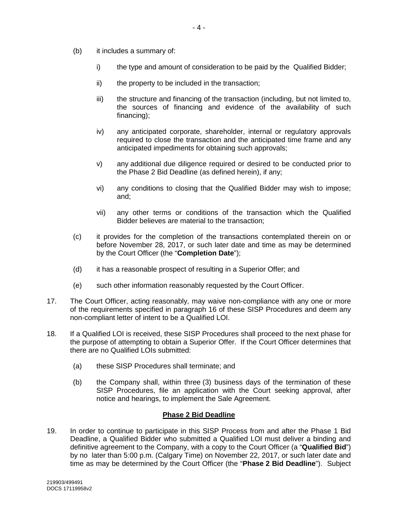- (b) it includes a summary of:
	- i) the type and amount of consideration to be paid by the Qualified Bidder;
	- ii) the property to be included in the transaction;
	- iii) the structure and financing of the transaction (including, but not limited to, the sources of financing and evidence of the availability of such financing):
	- iv) any anticipated corporate, shareholder, internal or regulatory approvals required to close the transaction and the anticipated time frame and any anticipated impediments for obtaining such approvals;
	- v) any additional due diligence required or desired to be conducted prior to the Phase 2 Bid Deadline (as defined herein), if any;
	- vi) any conditions to closing that the Qualified Bidder may wish to impose; and;
	- vii) any other terms or conditions of the transaction which the Qualified Bidder believes are material to the transaction;
- (c) it provides for the completion of the transactions contemplated therein on or before November 28, 2017, or such later date and time as may be determined by the Court Officer (the "**Completion Date**");
- (d) it has a reasonable prospect of resulting in a Superior Offer; and
- (e) such other information reasonably requested by the Court Officer.
- <span id="page-3-0"></span>17. The Court Officer, acting reasonably, may waive non-compliance with any one or more of the requirements specified in paragraph [16](#page-2-1) of these SISP Procedures and deem any non-compliant letter of intent to be a Qualified LOI.
- 18. If a Qualified LOI is received, these SISP Procedures shall proceed to the next phase for the purpose of attempting to obtain a Superior Offer. If the Court Officer determines that there are no Qualified LOIs submitted:
	- (a) these SISP Procedures shall terminate; and
	- (b) the Company shall, within three (3) business days of the termination of these SISP Procedures, file an application with the Court seeking approval, after notice and hearings, to implement the Sale Agreement.

### **Phase 2 Bid Deadline**

<span id="page-3-1"></span>19. In order to continue to participate in this SISP Process from and after the Phase 1 Bid Deadline, a Qualified Bidder who submitted a Qualified LOI must deliver a binding and definitive agreement to the Company, with a copy to the Court Officer (a "**Qualified Bid**") by no later than 5:00 p.m. (Calgary Time) on November 22, 2017, or such later date and time as may be determined by the Court Officer (the "**Phase 2 Bid Deadline**"). Subject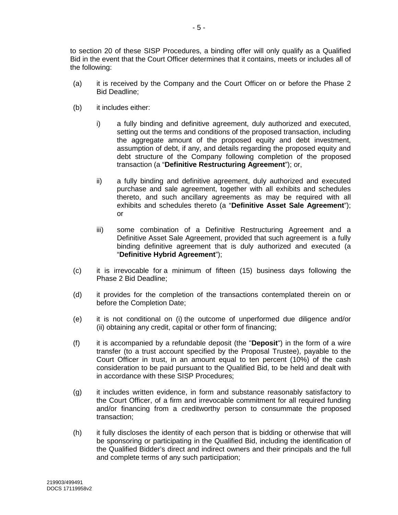to section [20](#page-5-0) of these SISP Procedures, a binding offer will only qualify as a Qualified Bid in the event that the Court Officer determines that it contains, meets or includes all of the following:

- (a) it is received by the Company and the Court Officer on or before the Phase 2 Bid Deadline;
- (b) it includes either:
	- i) a fully binding and definitive agreement, duly authorized and executed, setting out the terms and conditions of the proposed transaction, including the aggregate amount of the proposed equity and debt investment, assumption of debt, if any, and details regarding the proposed equity and debt structure of the Company following completion of the proposed transaction (a "**Definitive Restructuring Agreement**"); or,
	- ii) a fully binding and definitive agreement, duly authorized and executed purchase and sale agreement, together with all exhibits and schedules thereto, and such ancillary agreements as may be required with all exhibits and schedules thereto (a "**Definitive Asset Sale Agreement**"); or
	- iii) some combination of a Definitive Restructuring Agreement and a Definitive Asset Sale Agreement, provided that such agreement is a fully binding definitive agreement that is duly authorized and executed (a "**Definitive Hybrid Agreement**");
- (c) it is irrevocable for a minimum of fifteen (15) business days following the Phase 2 Bid Deadline;
- (d) it provides for the completion of the transactions contemplated therein on or before the Completion Date;
- (e) it is not conditional on (i) the outcome of unperformed due diligence and/or (ii) obtaining any credit, capital or other form of financing;
- (f) it is accompanied by a refundable deposit (the "**Deposit**") in the form of a wire transfer (to a trust account specified by the Proposal Trustee), payable to the Court Officer in trust, in an amount equal to ten percent (10%) of the cash consideration to be paid pursuant to the Qualified Bid, to be held and dealt with in accordance with these SISP Procedures;
- (g) it includes written evidence, in form and substance reasonably satisfactory to the Court Officer, of a firm and irrevocable commitment for all required funding and/or financing from a creditworthy person to consummate the proposed transaction;
- (h) it fully discloses the identity of each person that is bidding or otherwise that will be sponsoring or participating in the Qualified Bid, including the identification of the Qualified Bidder's direct and indirect owners and their principals and the full and complete terms of any such participation;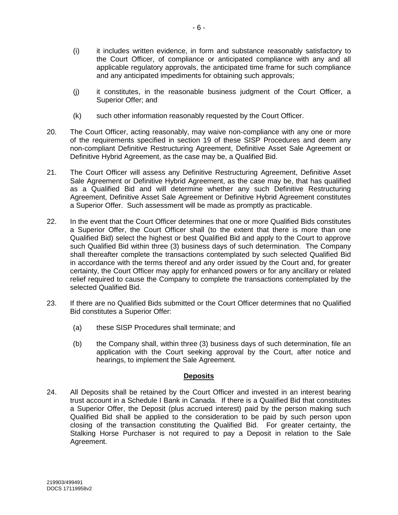- (i) it includes written evidence, in form and substance reasonably satisfactory to the Court Officer, of compliance or anticipated compliance with any and all applicable regulatory approvals, the anticipated time frame for such compliance and any anticipated impediments for obtaining such approvals;
- (j) it constitutes, in the reasonable business judgment of the Court Officer, a Superior Offer; and
- (k) such other information reasonably requested by the Court Officer.
- <span id="page-5-0"></span>20. The Court Officer, acting reasonably, may waive non-compliance with any one or more of the requirements specified in section [19](#page-3-1) of these SISP Procedures and deem any non-compliant Definitive Restructuring Agreement, Definitive Asset Sale Agreement or Definitive Hybrid Agreement, as the case may be, a Qualified Bid.
- 21. The Court Officer will assess any Definitive Restructuring Agreement, Definitive Asset Sale Agreement or Definitive Hybrid Agreement, as the case may be, that has qualified as a Qualified Bid and will determine whether any such Definitive Restructuring Agreement, Definitive Asset Sale Agreement or Definitive Hybrid Agreement constitutes a Superior Offer. Such assessment will be made as promptly as practicable.
- 22. In the event that the Court Officer determines that one or more Qualified Bids constitutes a Superior Offer, the Court Officer shall (to the extent that there is more than one Qualified Bid) select the highest or best Qualified Bid and apply to the Court to approve such Qualified Bid within three (3) business days of such determination. The Company shall thereafter complete the transactions contemplated by such selected Qualified Bid in accordance with the terms thereof and any order issued by the Court and, for greater certainty, the Court Officer may apply for enhanced powers or for any ancillary or related relief required to cause the Company to complete the transactions contemplated by the selected Qualified Bid.
- 23. If there are no Qualified Bids submitted or the Court Officer determines that no Qualified Bid constitutes a Superior Offer:
	- (a) these SISP Procedures shall terminate; and
	- (b) the Company shall, within three (3) business days of such determination, file an application with the Court seeking approval by the Court, after notice and hearings, to implement the Sale Agreement.

### **Deposits**

24. All Deposits shall be retained by the Court Officer and invested in an interest bearing trust account in a Schedule I Bank in Canada. If there is a Qualified Bid that constitutes a Superior Offer, the Deposit (plus accrued interest) paid by the person making such Qualified Bid shall be applied to the consideration to be paid by such person upon closing of the transaction constituting the Qualified Bid. For greater certainty, the Stalking Horse Purchaser is not required to pay a Deposit in relation to the Sale Agreement.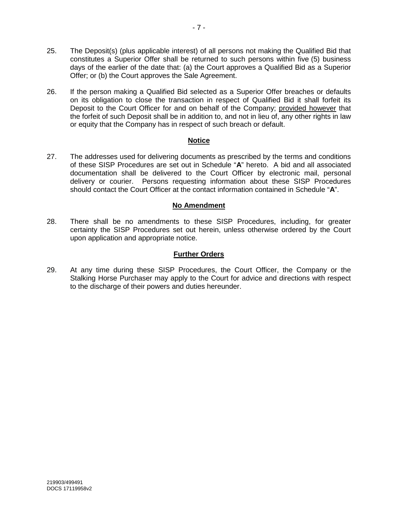- 25. The Deposit(s) (plus applicable interest) of all persons not making the Qualified Bid that constitutes a Superior Offer shall be returned to such persons within five (5) business days of the earlier of the date that: (a) the Court approves a Qualified Bid as a Superior Offer; or (b) the Court approves the Sale Agreement.
- 26. If the person making a Qualified Bid selected as a Superior Offer breaches or defaults on its obligation to close the transaction in respect of Qualified Bid it shall forfeit its Deposit to the Court Officer for and on behalf of the Company; provided however that the forfeit of such Deposit shall be in addition to, and not in lieu of, any other rights in law or equity that the Company has in respect of such breach or default.

#### **Notice**

27. The addresses used for delivering documents as prescribed by the terms and conditions of these SISP Procedures are set out in Schedule "**A**" hereto. A bid and all associated documentation shall be delivered to the Court Officer by electronic mail, personal delivery or courier. Persons requesting information about these SISP Procedures should contact the Court Officer at the contact information contained in Schedule "**A**".

### **No Amendment**

28. There shall be no amendments to these SISP Procedures, including, for greater certainty the SISP Procedures set out herein, unless otherwise ordered by the Court upon application and appropriate notice.

#### **Further Orders**

29. At any time during these SISP Procedures, the Court Officer, the Company or the Stalking Horse Purchaser may apply to the Court for advice and directions with respect to the discharge of their powers and duties hereunder.